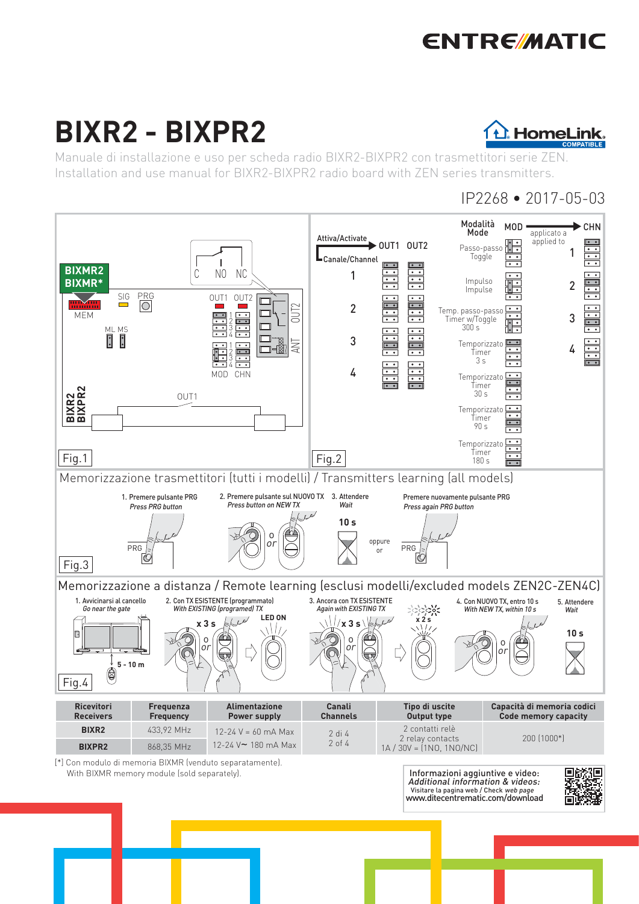# **ENTRE/MATIC**

# **BIXR2 - BIXPR2**



Manuale di installazione e uso per scheda radio BIXR2-BIXPR2 con trasmettitori serie ZEN. Installation and use manual for BIXR2-BIXPR2 radio board with ZEN series transmitters.

## IP2268 • 2017-05-03

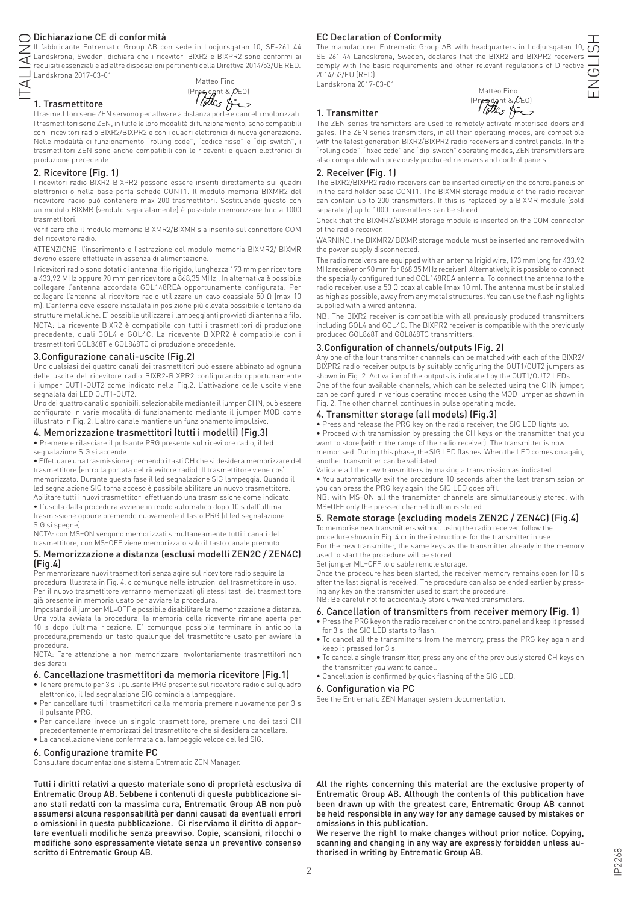## Dichiarazione CE di conformità

ITALIANO Il fabbricante Entrematic Group AB con sede in Lodjursgatan 10, SE-261 44 Landskrona, Sweden, dichiara che i ricevitori BIXR2 e BIXPR2 sono conformi ai requisiti essenziali e ad altre disposizioni pertinenti della Direttiva 2014/53/UE RED. Landskrona 2017-03-01  $\overline{\cong}$ 

1. Trasmettitore



I trasmettitori serie ZEN servono per attivare a distanza porte e cancelli motorizzati. I trasmettitori serie ZEN, in tutte le loro modalità di funzionamento, sono compatibili con i ricevitori radio BIXR2/BIXPR2 e con i quadri elettronici di nuova generazione. Nelle modalità di funzionamento "rolling code", "codice fisso" e "dip-switch", i trasmettitori ZEN sono anche compatibili con le riceventi e quadri elettronici di produzione precedente.

## 2. Ricevitore (Fig. 1)

I ricevitori radio BIXR2-BIXPR2 possono essere inseriti direttamente sui quadri elettronici o nella base porta schede CONT1. Il modulo memoria BIXMR2 del ricevitore radio può contenere max 200 trasmettitori. Sostituendo questo con un modulo BIXMR (venduto separatamente) è possibile memorizzare fino a 1000 trasmettitori.

Verificare che il modulo memoria BIXMR2/BIXMR sia inserito sul connettore COM del ricevitore radio.

ATTENZIONE: l'inserimento e l'estrazione del modulo memoria BIXMR2/ BIXMR devono essere effettuate in assenza di alimentazione.

I ricevitori radio sono dotati di antenna (filo rigido, lunghezza 173 mm per ricevitore a 433,92 MHz oppure 90 mm per ricevitore a 868,35 MHz). In alternativa è possibile collegare l'antenna accordata GOL148REA opportunamente configurata. Per collegare l'antenna al ricevitore radio utilizzare un cavo coassiale 50 Ω (max 10 m). L'antenna deve essere installata in posizione più elevata possibile e lontano da strutture metalliche. E' possibile utilizzare i lampeggianti provvisti di antenna a filo. NOTA: La ricevente BIXR2 è compatibile con tutti i trasmettitori di produzione precedente, quali GOL4 e GOL4C. La ricevente BIXPR2 è compatibile con i trasmettitori GOL868T e GOL868TC di produzione precedente.

## 3.Configurazione canali-uscite (Fig.2)

Uno qualsiasi dei quattro canali dei trasmettitori può essere abbinato ad ognuna delle uscite del ricevitore radio BIXR2-BIXPR2 configurando opportunamente i jumper OUT1-OUT2 come indicato nella Fig.2. L'attivazione delle uscite viene segnalata dai LED OUT1-OUT2.

Uno dei quattro canali disponibili, selezionabile mediante il jumper CHN, può essere configurato in varie modalità di funzionamento mediante il jumper MOD come illustrato in Fig. 2. L'altro canale mantiene un funzionamento impulsivo.

## 4. Memorizzazione trasmettitori (tutti i modelli) (Fig.3)

• Premere e rilasciare il pulsante PRG presente sul ricevitore radio, il led segnalazione SIG si accende.

• Effettuare una trasmissione premendo i tasti CH che si desidera memorizzare del trasmettitore (entro la portata del ricevitore radio). Il trasmettitore viene così memorizzato. Durante questa fase il led segnalazione SIG lampeggia. Quando il led segnalazione SIG torna acceso è possibile abilitare un nuovo trasmettitore. Abilitare tutti i nuovi trasmettitori effettuando una trasmissione come indicato. • L'uscita dalla procedura avviene in modo automatico dopo 10 s dall'ultima

trasmissione oppure premendo nuovamente il tasto PRG (il led segnalazione SIG si spegne). NOTA: con MS=ON vengono memorizzati simultaneamente tutti i canali del

trasmettitore, con MS=OFF viene memorizzato solo il tasto canale premuto.

## 5. Memorizzazione a distanza (esclusi modelli ZEN2C / ZEN4C) (Fig.4)

Per memorizzare nuovi trasmettitori senza agire sul ricevitore radio seguire la procedura illustrata in Fig. 4, o comunque nelle istruzioni del trasmettitore in uso. Per il nuovo trasmettitore verranno memorizzati gli stessi tasti del trasmettitore già presente in memoria usato per avviare la procedura.

Impostando il jumper ML=OFF e possibile disabilitare la memorizzazione a distanza. Una volta avviata la procedura, la memoria della ricevente rimane aperta per 10 s dopo l'ultima ricezione. E' comunque possibile terminare in anticipo la procedura,premendo un tasto qualunque del trasmettitore usato per avviare la procedura.

NOTA: Fare attenzione a non memorizzare involontariamente trasmettitori non desiderati.

#### 6. Cancellazione trasmettitori da memoria ricevitore (Fig.1)

- Tenere premuto per 3 s il pulsante PRG presente sul ricevitore radio o sul quadro elettronico, il led segnalazione SIG comincia a lampeggiare.
- Per cancellare tutti i trasmettitori dalla memoria premere nuovamente per 3 s il pulsante PRG.
- Per cancellare invece un singolo trasmettitore, premere uno dei tasti CH precedentemente memorizzati del trasmettitore che si desidera cancellare.
- La cancellazione viene confermata dal lampeggio veloce del led SIG.

#### 6. Configurazione tramite PC

Consultare documentazione sistema Entrematic ZEN Manager.

Tutti i diritti relativi a questo materiale sono di proprietà esclusiva di Entrematic Group AB. Sebbene i contenuti di questa pubblicazione siano stati redatti con la massima cura, Entrematic Group AB non può assumersi alcuna responsabilità per danni causati da eventuali errori o omissioni in questa pubblicazione. Ci riserviamo il diritto di apportare eventuali modifiche senza preavviso. Copie, scansioni, ritocchi o modifiche sono espressamente vietate senza un preventivo consenso scritto di Entrematic Group AB.

## EC Declaration of Conformity

The manufacturer Entrematic Group AB with headquarters in Lodjursgatan 10,  $\overline{O}$ SE-261 44 Landskrona, Sweden, declares that the BIXR2 and BIXPR2 receivers comply with the basic requirements and other relevant regulations of Directive 2014/53/EU (RED). Landskrona 2017-03-01

Matteo Fino

| Tandskrona ZUTZ-U3-UT |                  |
|-----------------------|------------------|
|                       | Matteo Fino      |
|                       | (Prejdent & CEO) |
| 1. Transmitter        |                  |

The ZEN series transmitters are used to remotely activate motorised doors and gates. The ZEN series transmitters, in all their operating modes, are compatible with the latest generation BIXR2/BIXPR2 radio receivers and control panels. In the "rolling code", "fixed code" and "dip-switch" operating modes, ZEN transmitters are also compatible with previously produced receivers and control panels.

#### 2. Receiver (Fig. 1)

The BIXR2/BIXPR2 radio receivers can be inserted directly on the control panels or in the card holder base CONT1. The BIXMR storage module of the radio receiver can contain up to 200 transmitters. If this is replaced by a BIXMR module (sold separately) up to 1000 transmitters can be stored.

Check that the BIXMR2/BIXMR storage module is inserted on the COM connector of the radio receiver.

WARNING: the BIXMR2/ BIXMR storage module must be inserted and removed with the power supply disconnected.

The radio receivers are equipped with an antenna (rigid wire, 173 mm long for 433.92 MHz receiver or 90 mm for 868.35 MHz receiver). Alternatively, it is possible to connect the specially configured tuned GOL148REA antenna. To connect the antenna to the radio receiver, use a 50 Ω coaxial cable (max 10 m). The antenna must be installed as high as possible, away from any metal structures. You can use the flashing lights supplied with a wired antenna.

NB: The BIXR2 receiver is compatible with all previously produced transmitters including GOL4 and GOL4C. The BIXPR2 receiver is compatible with the previously produced GOL868T and GOL868TC transmitters.

#### 3.Configuration of channels/outputs (Fig. 2)

Any one of the four transmitter channels can be matched with each of the BIXR2/ BIXPR2 radio receiver outputs by suitably configuring the OUT1/OUT2 jumpers as shown in Fig. 2. Activation of the outputs is indicated by the OUT1/OUT2 LEDs. One of the four available channels, which can be selected using the CHN jumper, can be configured in various operating modes using the MOD jumper as shown in Fig. 2. The other channel continues in pulse operating mode.

## 4. Transmitter storage (all models) (Fig.3)

• Press and release the PRG key on the radio receiver; the SIG LED lights up. • Proceed with transmission by pressing the CH keys on the transmitter that you want to store (within the range of the radio receiver). The transmitter is now

memorised. During this phase, the SIG LED flashes. When the LED comes on again, another transmitter can be validated. Validate all the new transmitters by making a transmission as indicated.

• You automatically exit the procedure 10 seconds after the last transmission or

you can press the PRG key again (the SIG LED goes off). NB: with MS=ON all the transmitter channels are simultaneously stored, with MS=OFF only the pressed channel button is stored.

## 5. Remote storage (excluding models ZEN2C / ZEN4C) (Fig.4)

To memorise new transmitters without using the radio receiver, follow the procedure shown in Fig. 4 or in the instructions for the transmitter in use.

For the new transmitter, the same keys as the transmitter already in the memory used to start the procedure will be stored.

Set jumper ML=OFF to disable remote storage.

Once the procedure has been started, the receiver memory remains open for 10 s after the last signal is received. The procedure can also be ended earlier by pressing any key on the transmitter used to start the procedure. NB: Be careful not to accidentally store unwanted transmitters.

## 6. Cancellation of transmitters from receiver memory (Fig. 1)

- Press the PRG key on the radio receiver or on the control panel and keep it pressed for 3 s; the SIG LED starts to flash.
- To cancel all the transmitters from the memory, press the PRG key again and keep it pressed for 3 s.
- To cancel a single transmitter, press any one of the previously stored CH keys on the transmitter you want to cancel.
- Cancellation is confirmed by quick flashing of the SIG LED.

#### 6. Configuration via PC

See the Entrematic ZEN Manager system documentation.

All the rights concerning this material are the exclusive property of Entrematic Group AB. Although the contents of this publication have been drawn up with the greatest care, Entrematic Group AB cannot be held responsible in any way for any damage caused by mistakes or omissions in this publication.

We reserve the right to make changes without prior notice. Copying, scanning and changing in any way are expressly forbidden unless authorised in writing by Entrematic Group AB.

ENGLISH  $(5)$  $\sum_{i=1}^{n}$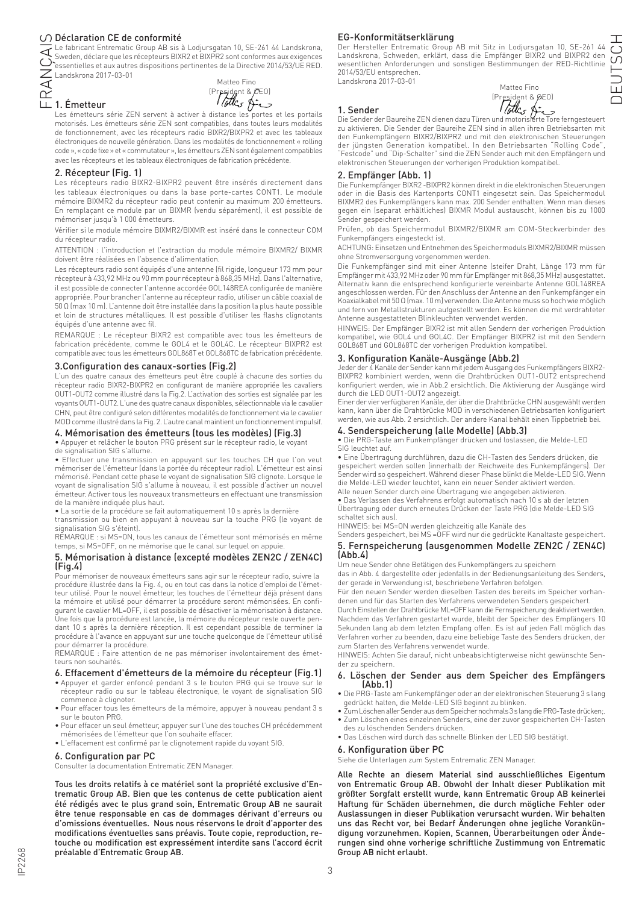$\bigcirc$  Déclaration CE de conformité<br>Le fabricant Entrematic Group AB sis à Lodjursgatan 10, SE-261 44 Landskrona, Le fabricant Entrematic Group AB sis à Lodjursgatan 10, SE-261 44 Landskrona, Sweden, déclare que les récepteurs BIXR2 et BIXPR2 sont conformes aux exigences essentielles et aux autres dispositions pertinentes de la Directive 2014/53/UE RED. Landskrona 2017-03-01

FRANÇAIS 1. Émetteur



Les émetteurs série ZEN servent à activer à distance les portes et les portails motorisés. Les émetteurs série ZEN sont compatibles, dans toutes leurs modalités de fonctionnement, avec les récepteurs radio BIXR2/BIXPR2 et avec les tableaux électroniques de nouvelle génération. Dans les modalités de fonctionnement « rolling code », « code fixe » et « commutateur », les émetteurs ZEN sont également compatibles avec les récepteurs et les tableaux électroniques de fabrication précédente.

## 2. Récepteur (Fig. 1)

Les récepteurs radio BIXR2-BIXPR2 peuvent être insérés directement dans les tableaux électroniques ou dans la base porte-cartes CONT1. Le module mémoire BIXMR2 du récepteur radio peut contenir au maximum 200 émetteurs. En remplaçant ce module par un BIXMR (vendu séparément), il est possible de mémoriser jusqu'à 1 000 émetteurs.

Vérifier si le module mémoire BIXMR2/BIXMR est inséré dans le connecteur COM du récepteur radio.

ATTENTION : l'introduction et l'extraction du module mémoire BIXMR2/ BIXMR doivent être réalisées en l'absence d'alimentation.

Les récepteurs radio sont équipés d'une antenne (fil rigide, longueur 173 mm pour récepteur à 433,92 MHz ou 90 mm pour récepteur à 868,35 MHz). Dans l'alternative, il est possible de connecter l'antenne accordée GOL148REA configurée de manière appropriée. Pour brancher l'antenne au récepteur radio, utiliser un câble coaxial de 50 Ω (max 10 m). L'antenne doit être installée dans la position la plus haute possible et loin de structures métalliques. Il est possible d'utiliser les flashs clignotants équipés d'une antenne avec fil.

REMARQUE : Le récepteur BIXR2 est compatible avec tous les émetteurs de fabrication précédente, comme le GOL4 et le GOL4C. Le récepteur BIXPR2 est compatible avec tous les émetteurs GOL868T et GOL868TC de fabrication précédente.

## 3.Configuration des canaux-sorties (Fig.2)

L'un des quatre canaux des émetteurs peut être couplé à chacune des sorties du récepteur radio BIXR2-BIXPR2 en configurant de manière appropriée les cavaliers OUT1-OUT2 comme illustré dans la Fig.2. L'activation des sorties est signalée par les voyants OUT1-OUT2. L'une des quatre canaux disponibles, sélectionnable via le cavalier CHN, peut être configuré selon différentes modalités de fonctionnement via le cavalier MOD comme illustré dans la Fig. 2. L'autre canal maintient un fonctionnement impulsif.

## 4. Mémorisation des émetteurs (tous les modèles) (Fig.3)

• Appuyer et relâcher le bouton PRG présent sur le récepteur radio, le voyant

de signalisation SIG s'allume.

• Effectuer une transmission en appuyant sur les touches CH que l'on veut mémoriser de l'émetteur (dans la portée du récepteur radio). L'émetteur est ainsi mémorisé. Pendant cette phase le voyant de signalisation SIG clignote. Lorsque le voyant de signalisation SIG s'allume à nouveau, il est possible d'activer un nouvel émetteur. Activer tous les nouveaux transmetteurs en effectuant une transmission de la manière indiquée plus haut.

• La sortie de la procédure se fait automatiquement 10 s après la dernière

transmission ou bien en appuyant à nouveau sur la touche PRG (le voyant de signalisation SIG s'éteint).

REMARQUE : si MS=ON, tous les canaux de l'émetteur sont mémorisés en même temps, si MS=OFF, on ne mémorise que le canal sur lequel on appuie.

#### 5. Mémorisation à distance (excepté modèles ZEN2C / ZEN4C) (Fig.4)

Pour mémoriser de nouveaux émetteurs sans agir sur le récepteur radio, suivre la procédure illustrée dans la Fig. 4, ou en tout cas dans la notice d'emploi de l'émetteur utilisé. Pour le nouvel émetteur, les touches de l'émetteur déjà présent dans la mémoire et utilisé pour démarrer la procédure seront mémorisées. En configurant le cavalier ML=OFF, il est possible de désactiver la mémorisation à distance. Une fois que la procédure est lancée, la mémoire du récepteur reste ouverte pendant 10 s après la dernière réception. Il est cependant possible de terminer la procédure à l'avance en appuyant sur une touche quelconque de l'émetteur utilisé pour démarrer la procédure.

REMARQUE : Faire attention de ne pas mémoriser involontairement des émetteurs non souhaités.

#### 6. Effacement d'émetteurs de la mémoire du récepteur (Fig.1)

- Appuyer et garder enfoncé pendant 3 s le bouton PRG qui se trouve sur le récepteur radio ou sur le tableau électronique, le voyant de signalisation SIG commence à clignoter.
- Pour effacer tous les émetteurs de la mémoire, appuyer à nouveau pendant 3 s sur le bouton PRG.
- Pour effacer un seul émetteur, appuyer sur l'une des touches CH précédemment mémorisées de l'émetteur que l'on souhaite effacer.
- L'effacement est confirmé par le clignotement rapide du voyant SIG.

## 6. Configuration par PC

Consulter la documentation Entrematic ZEN Manager.

Tous les droits relatifs à ce matériel sont la propriété exclusive d'Entrematic Group AB. Bien que les contenus de cette publication aient été rédigés avec le plus grand soin, Entrematic Group AB ne saurait être tenue responsable en cas de dommages dérivant d'erreurs ou d'omissions éventuelles. Nous nous réservons le droit d'apporter des modifications éventuelles sans préavis. Toute copie, reproduction, retouche ou modification est expressément interdite sans l'accord écrit préalable d'Entrematic Group AB.

#### EG-Konformitätserklärung

Der Hersteller Entrematic Group AB mit Sitz in Lodjursgatan 10, SE-261 44 Landskrona, Schweden, erklärt, dass die Empfänger BIXR2 und BIXPR2 den wesentlichen Anforderungen und sonstigen Bestimmungen der RED-Richtlinie 2014/53/EU entsprechen. Landskrona 2017-03-01

Matteo Fino

|           | Matteo Fino                      |
|-----------|----------------------------------|
| 1. Sender | President & pEO)<br>ب مشرح جملها |
| .         |                                  |

Die Sender der Baureihe ZEN dienen dazu Türen und motorisierte Tore ferngesteuert zu aktivieren. Die Sender der Baureihe ZEN sind in allen ihren Betriebsarten mit den Funkempfängern BIXR2/BIXPR2 und mit den elektronischen Steuerungen der jüngsten Generation kompatibel. In den Betriebsarten "Rolling Code", "Festcode" und "Dip-Schalter" sind die ZEN Sender auch mit den Empfängern und elektronischen Steuerungen der vorherigen Produktion kompatibel.

#### 2. Empfänger (Abb. 1)

Die Funkempfänger BIXR2 -BIXPR2 können direkt in die elektronischen Steuerungen oder in die Basis des Kartenports CONT1 eingesetzt sein. Das Speichermodul BIXMR2 des Funkempfängers kann max. 200 Sender enthalten. Wenn man dieses gegen ein (separat erhältliches) BIXMR Modul austauscht, können bis zu 1000 Sender gespeichert werden.

Prüfen, ob das Speichermodul BIXMR2/BIXMR am COM-Steckverbinder des Funkempfängers eingesteckt ist.

ACHTUNG: Einsetzen und Entnehmen des Speichermoduls BIXMR2/BIXMR müssen ohne Stromversorgung vorgenommen werden.

Die Funkempfänger sind mit einer Antenne (steifer Draht, Länge 173 mm für Empfänger mit 433,92 MHz oder 90 mm für Empfänger mit 868,35 MHz) ausgestattet. Alternativ kann die entsprechend konfigurierte vereinbarte Antenne GOL148REA angeschlossen werden. Für den Anschluss der Antenne an den Funkempfänger ein Koaxialkabel mit 50 Ω (max. 10 m) verwenden. Die Antenne muss so hoch wie möglich und fern von Metallstrukturen aufgestellt werden. Es können die mit verdrahteter Antenne ausgestatteten Blinkleuchten verwendet werden.

HINWEIS: Der Empfänger BIXR2 ist mit allen Sendern der vorherigen Produktion kompatibel, wie GOL4 und GOL4C. Der Empfänger BIXPR2 ist mit den Sendern GOL868T und GOL868TC der vorherigen Produktion kompatibel.

#### 3. Konfiguration Kanäle-Ausgänge (Abb.2)

Jeder der 4 Kanäle der Sender kann mit jedem Ausgang des Funkempfängers BIXR2- BIXPR2 kombiniert werden, wenn die Drahtbrücken OUT1-OUT2 entsprechend konfiguriert werden, wie in Abb.2 ersichtlich. Die Aktivierung der Ausgänge wird durch die LED OUT1-OUT2 angezeigt.

Einer der vier verfügbaren Kanäle, der über die Drahtbrücke CHN ausgewählt werden kann, kann über die Drahtbrücke MOD in verschiedenen Betriebsarten konfiguriert werden, wie aus Abb. 2 ersichtlich. Der andere Kanal behält einen Tippbetrieb bei.

## 4. Senderspeicherung (alle Modelle) (Abb.3)

• Die PRG-Taste am Funkempfänger drücken und loslassen, die Melde-LED SIG leuchtet auf.

• Eine Übertragung durchführen, dazu die CH-Tasten des Senders drücken, die gespeichert werden sollen (innerhalb der Reichweite des Funkempfängers). Der Sender wird so gespeichert. Während dieser Phase blinkt die Melde-LED SIG. Wenn die Melde-LED wieder leuchtet, kann ein neuer Sender aktiviert werden. Alle neuen Sender durch eine Übertragung wie angegeben aktivieren.

• Das Verlassen des Verfahrens erfolgt automatisch nach 10 s ab der letzten Übertragung oder durch erneutes Drücken der Taste PRG (die Melde-LED SIG schaltet sich aus).

HINWEIS: bei MS=ON werden gleichzeitig alle Kanäle des

#### Senders gespeichert, bei MS =OFF wird nur die gedrückte Kanaltaste gespeichert. 5. Fernspeicherung (ausgenommen Modelle ZEN2C / ZEN4C) (Abb.4)

Um neue Sender ohne Betätigen des Funkempfängers zu speichern

das in Abb. 4 dargestellte oder jedenfalls in der Bedienungsanleitung des Senders, der gerade in Verwendung ist, beschriebene Verfahren befolgen.

Für den neuen Sender werden dieselben Tasten des bereits im Speicher vorhandenen und für das Starten des Verfahrens verwendeten Senders gespeichert.

Durch Einstellen der Drahtbrücke ML=OFF kann die Fernspeicherung deaktiviert werden. Nachdem das Verfahren gestartet wurde, bleibt der Speicher des Empfängers 10 Sekunden lang ab dem letzten Empfang offen. Es ist auf jeden Fall möglich das Verfahren vorher zu beenden, dazu eine beliebige Taste des Senders drücken, der zum Starten des Verfahrens verwendet wurde.

HINWEIS: Achten Sie darauf, nicht unbeabsichtigterweise nicht gewünschte Sender zu speichern.

# 6. Löschen der Sender aus dem Speicher des Empfängers (Abb.1)

- Die PRG-Taste am Funkempfänger oder an der elektronischen Steuerung 3 s lang gedrückt halten, die Melde-LED SIG beginnt zu blinken.
- Zum Löschen aller Sender aus dem Speicher nochmals 3 s lang die PRG-Taste drücken;. • Zum Löschen eines einzelnen Senders, eine der zuvor gespeicherten CH-Tasten des zu löschenden Senders drücken.
- Das Löschen wird durch das schnelle Blinken der LED SIG bestätigt.

#### 6. Konfiguration über PC

Siehe die Unterlagen zum System Entrematic ZEN Manager.

Alle Rechte an diesem Material sind ausschließliches Eigentum von Entrematic Group AB. Obwohl der Inhalt dieser Publikation mit größter Sorgfalt erstellt wurde, kann Entrematic Group AB keinerlei Haftung für Schäden übernehmen, die durch mögliche Fehler oder Auslassungen in dieser Publikation verursacht wurden. Wir behalten uns das Recht vor, bei Bedarf Änderungen ohne jegliche Vorankündigung vorzunehmen. Kopien, Scannen, Überarbeitungen oder Änderungen sind ohne vorherige schriftliche Zustimmung von Entrematic Group AB nicht erlaubt.